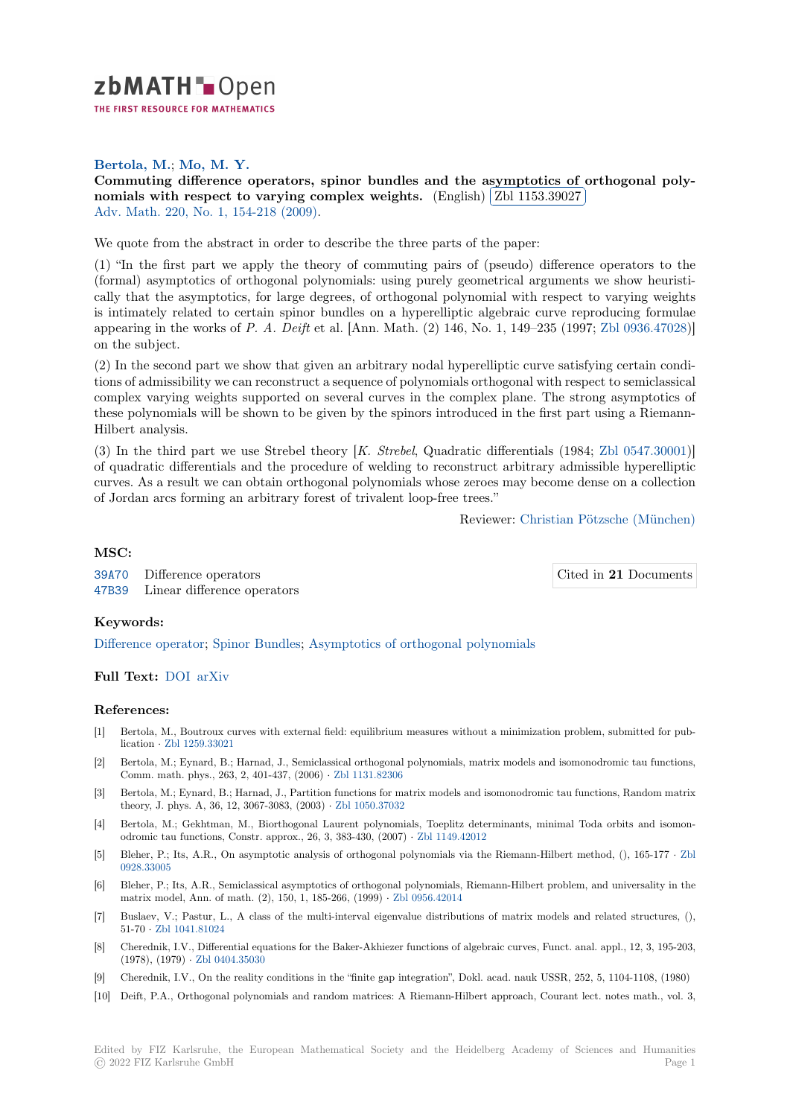

# **Bertola, M.**; **Mo, M. Y.**

[C](https://zbmath.org/)ommuting difference operators, spinor bundles and the asymptotics of orthogonal polynomials with respect to varying complex weights.  $(\text{English})$   $(\text{Zbl 1153.39027})$ Ļ, Adv. Math. 220, No. 1, 154-218 (2009).

[We quote from the abstract in order to describe the three parts of the paper:](https://zbmath.org/1153.39027)

[\(1\) "In the first part we apply the theory of commuting](https://zbmath.org/1153.39027) pairs of([pseudo\) difference](https://zbmath.org/1153.39027) operators to the [\(formal\) asy](https://zbmath.org/journals/?q=se:290)[mptotics of orthogonal po](https://zbmath.org/?q=in:234083)lynomials: using purely geometrical arguments we show heuristically that the asymptotics, for large degrees, of orthogonal polynomial with respect to varying weights is intimately related to certain spinor bundles on a hyperelliptic algebraic curve reproducing formulae appearing in the works of *P. A. Deift* et al. [Ann. Math. (2) 146, No. 1, 149–235 (1997; Zbl 0936.47028)] on the subject.

(2) In the second part we show that given an arbitrary nodal hyperelliptic curve satisfying certain conditions of admissibility we can reconstruct a sequence of polynomials orthogonal with respect to semiclassical complex varying weights supported on several curves in the complex plane. The stron[g asymptotics o](https://zbmath.org/?q=an:0936.47028)f these polynomials will be shown to be given by the spinors introduced in the first part using a Riemann-Hilbert analysis.

(3) In the third part we use Strebel theory [*K. Strebel*, Quadratic differentials (1984; Zbl 0547.30001)] of quadratic differentials and the procedure of welding to reconstruct arbitrary admissible hyperelliptic curves. As a result we can obtain orthogonal polynomials whose zeroes may become dense on a collection of Jordan arcs forming an arbitrary forest of trivalent loop-free trees."

Reviewer: Christian Pöt[zsche \(München](https://zbmath.org/?q=an:0547.30001))

### **MSC:**

39A70 Difference operators 47B39 Linear difference operators

### **Keywords:**

[Differe](https://zbmath.org/classification/?q=cc:39A70)nce operator; Spinor Bundles; Asymptotics of orthogonal polynomials

## **Full Text:** DOI arXiv

### **[References:](https://zbmath.org/?q=ut:Difference+operator)**

- [1] Bertola, M., Boutroux curves with external field: equilibrium measures without a minimization problem, submitted for publication *·* [Zbl 12](https://dx.doi.org/10.1016/j.aim.2008.09.001)[59.33021](https://arxiv.org/abs/math-ph/0605043)
- [2] Bertola, M.; Eynard, B.; Harnad, J., Semiclassical orthogonal polynomials, matrix models and isomonodromic tau functions, Comm. math. phys., 263, 2, 401-437, (2006) *·* Zbl 1131.82306
- [3] Bertola, M.; Eynard, B.; Harnad, J., Partition functions for matrix models and isomonodromic tau functions, Random matrix theory, J. [phys. A, 36, 12](https://zbmath.org/1259.33021), 3067-3083, (2003) *·* Zbl 1050.37032
- [4] Bertola, M.; Gekhtman, M., Biorthogonal Laurent polynomials, Toeplitz determinants, minimal Toda orbits and isomonodromic tau functions, Constr. approx., 26, 3, [383-430, \(2007\)](https://zbmath.org/1131.82306) *·* Zbl 1149.42012
- [5] Bleher, P.; Its, A.R., On asymptotic analysis of orthogonal polynomials via the Riemann-Hilbert method, (), 165-177 *·* Zbl 0928.33005
- [6] Bleher, P.; Its, A.R., Semiclassical asymptotics of orthogonal polynomials, Riemann-Hilbert problem, and universality in the matrix model, Ann. of math. (2), 150, 1, 185-266, (1999) *·* Zbl0[956.42014](https://zbmath.org/1149.42012)
- [7] Buslaev, V.; Pastur, L., A class of the multi-interval eigenvalue distributions of matrix models and related structures, [\(\),](https://zbmath.org/0928.33005) [51-70](https://zbmath.org/0928.33005) *·* Zbl 1041.81024
- [8] Cherednik, I.V., Differential equations for the Baker-Akhiezer functions of algebraic curves, Funct. anal. appl., 12, 3, 195-203, (1978), (1979) *·* Zbl 0404.35030
- [9] Cherednik, I.V., On the reality conditions in the "finite gap integration", Dokl. acad. nauk USSR, 252, 5, 1104-1108, (1980)
- [10] Deift, [P.A., Orthogona](https://zbmath.org/1041.81024)l polynomials and random matrices: A Riemann-Hilbert approach, Courant lect. notes math., vol. 3,

Cited in **21** [Documents](https://zbmath.org/authors/?q=potzsche.christian)